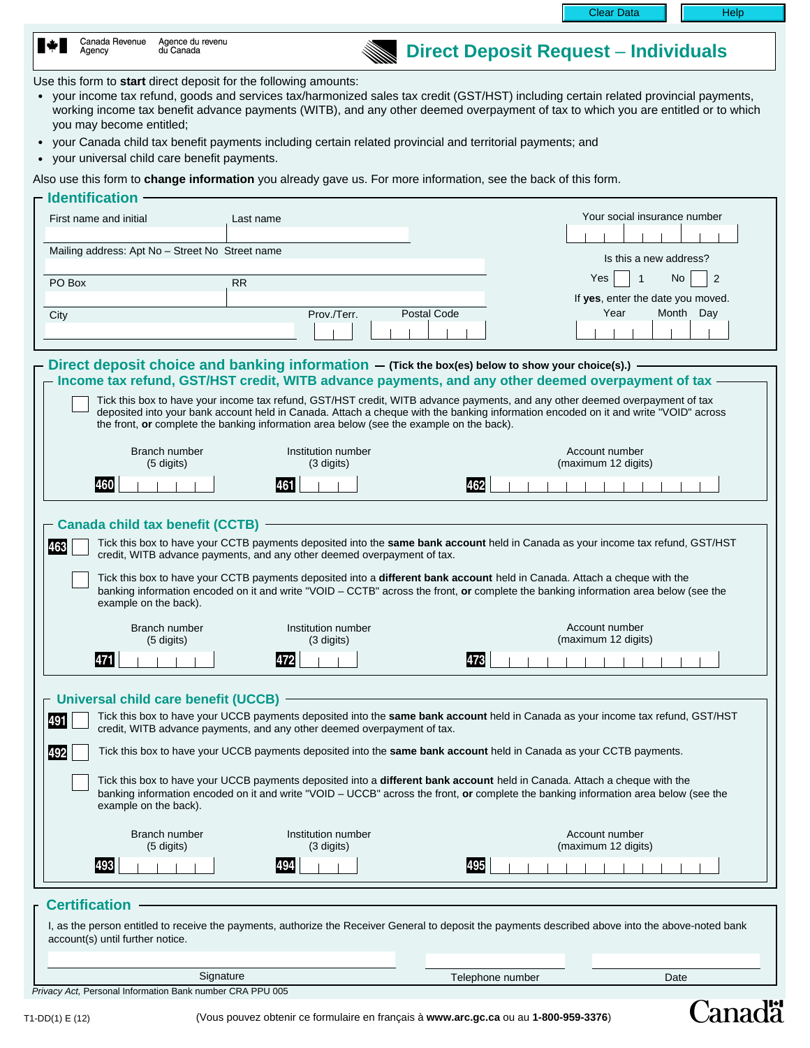Clear Data | | Help

**Direct Deposit Request** – **Individuals**

Canadä

| I∗L | Canada Revenue<br>Agency | Agence du revenu<br>du Canada |  |
|-----|--------------------------|-------------------------------|--|
|     |                          |                               |  |

#### Use this form to **start** direct deposit for the following amounts:

- your income tax refund, goods and services tax/harmonized sales tax credit (GST/HST) including certain related provincial payments, working income tax benefit advance payments (WITB), and any other deemed overpayment of tax to which you are entitled or to which you may become entitled;
- your Canada child tax benefit payments including certain related provincial and territorial payments; and
- your universal child care benefit payments.

Also use this form to **change information** you already gave us. For more information, see the back of this form.

| <b>Identification</b>                                                                                                                                                                                                                                                                                                                                                                  |                                                                                                   |                  |                                                        |  |  |  |  |
|----------------------------------------------------------------------------------------------------------------------------------------------------------------------------------------------------------------------------------------------------------------------------------------------------------------------------------------------------------------------------------------|---------------------------------------------------------------------------------------------------|------------------|--------------------------------------------------------|--|--|--|--|
| First name and initial                                                                                                                                                                                                                                                                                                                                                                 | Last name                                                                                         |                  | Your social insurance number                           |  |  |  |  |
| Mailing address: Apt No - Street No Street name                                                                                                                                                                                                                                                                                                                                        |                                                                                                   |                  | Is this a new address?                                 |  |  |  |  |
| PO Box                                                                                                                                                                                                                                                                                                                                                                                 | <b>RR</b>                                                                                         | Yes              | $\overline{2}$<br>$\overline{1}$<br>No.                |  |  |  |  |
| City                                                                                                                                                                                                                                                                                                                                                                                   | Postal Code<br>Prov./Terr.                                                                        |                  | If yes, enter the date you moved.<br>Year<br>Month Day |  |  |  |  |
|                                                                                                                                                                                                                                                                                                                                                                                        | Direct deposit choice and banking information $-$ (Tick the box(es) below to show your choice(s). |                  |                                                        |  |  |  |  |
|                                                                                                                                                                                                                                                                                                                                                                                        | Income tax refund, GST/HST credit, WITB advance payments, and any other deemed overpayment of tax |                  |                                                        |  |  |  |  |
| Tick this box to have your income tax refund, GST/HST credit, WITB advance payments, and any other deemed overpayment of tax<br>deposited into your bank account held in Canada. Attach a cheque with the banking information encoded on it and write "VOID" across<br>the front, or complete the banking information area below (see the example on the back).                        |                                                                                                   |                  |                                                        |  |  |  |  |
| Branch number<br>$(5 \text{ digits})$                                                                                                                                                                                                                                                                                                                                                  | Institution number<br>(3 digits)                                                                  |                  | Account number<br>(maximum 12 digits)                  |  |  |  |  |
| 460                                                                                                                                                                                                                                                                                                                                                                                    | 461                                                                                               | 462              |                                                        |  |  |  |  |
| <b>Canada child tax benefit (CCTB) -</b>                                                                                                                                                                                                                                                                                                                                               |                                                                                                   |                  |                                                        |  |  |  |  |
| Tick this box to have your CCTB payments deposited into the same bank account held in Canada as your income tax refund, GST/HST<br>463<br>credit, WITB advance payments, and any other deemed overpayment of tax.                                                                                                                                                                      |                                                                                                   |                  |                                                        |  |  |  |  |
| Tick this box to have your CCTB payments deposited into a different bank account held in Canada. Attach a cheque with the<br>banking information encoded on it and write "VOID - CCTB" across the front, or complete the banking information area below (see the<br>example on the back).                                                                                              |                                                                                                   |                  |                                                        |  |  |  |  |
| Branch number<br>(5 digits)                                                                                                                                                                                                                                                                                                                                                            | Institution number<br>(3 digits)                                                                  |                  | Account number<br>(maximum 12 digits)                  |  |  |  |  |
| 471                                                                                                                                                                                                                                                                                                                                                                                    | 472                                                                                               | 473              |                                                        |  |  |  |  |
| Universal child care benefit (UCCB)<br>Tick this box to have your UCCB payments deposited into the same bank account held in Canada as your income tax refund, GST/HST<br>491<br>credit, WITB advance payments, and any other deemed overpayment of tax.<br>Tick this box to have your UCCB payments deposited into the same bank account held in Canada as your CCTB payments.<br>492 |                                                                                                   |                  |                                                        |  |  |  |  |
| Tick this box to have your UCCB payments deposited into a different bank account held in Canada. Attach a cheque with the<br>banking information encoded on it and write "VOID - UCCB" across the front, or complete the banking information area below (see the<br>example on the back).                                                                                              |                                                                                                   |                  |                                                        |  |  |  |  |
| Branch number<br>(5 digits)                                                                                                                                                                                                                                                                                                                                                            | Institution number<br>(3 digits)                                                                  |                  | Account number<br>(maximum 12 digits)                  |  |  |  |  |
| 493                                                                                                                                                                                                                                                                                                                                                                                    | 494                                                                                               | 495              |                                                        |  |  |  |  |
| <b>Certification</b>                                                                                                                                                                                                                                                                                                                                                                   |                                                                                                   |                  |                                                        |  |  |  |  |
| I, as the person entitled to receive the payments, authorize the Receiver General to deposit the payments described above into the above-noted bank<br>account(s) until further notice.                                                                                                                                                                                                |                                                                                                   |                  |                                                        |  |  |  |  |
|                                                                                                                                                                                                                                                                                                                                                                                        |                                                                                                   |                  |                                                        |  |  |  |  |
| Signature<br>Privacy Act, Personal Information Bank number CRA PPU 005                                                                                                                                                                                                                                                                                                                 |                                                                                                   | Telephone number | Date                                                   |  |  |  |  |